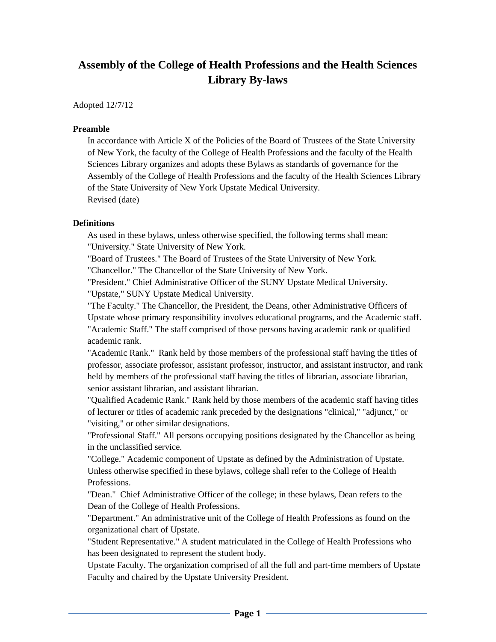# **Assembly of the College of Health Professions and the Health Sciences Library By-laws**

Adopted 12/7/12

#### **Preamble**

In accordance with Article X of the Policies of the Board of Trustees of the State University of New York, the faculty of the College of Health Professions and the faculty of the Health Sciences Library organizes and adopts these Bylaws as standards of governance for the Assembly of the College of Health Professions and the faculty of the Health Sciences Library of the State University of New York Upstate Medical University. Revised (date)

#### **Definitions**

As used in these bylaws, unless otherwise specified, the following terms shall mean: "University." State University of New York.

"Board of Trustees." The Board of Trustees of the State University of New York.

"Chancellor." The Chancellor of the State University of New York.

"President." Chief Administrative Officer of the SUNY Upstate Medical University.

"Upstate," SUNY Upstate Medical University.

"The Faculty." The Chancellor, the President, the Deans, other Administrative Officers of Upstate whose primary responsibility involves educational programs, and the Academic staff. "Academic Staff." The staff comprised of those persons having academic rank or qualified academic rank.

"Academic Rank." Rank held by those members of the professional staff having the titles of professor, associate professor, assistant professor, instructor, and assistant instructor, and rank held by members of the professional staff having the titles of librarian, associate librarian, senior assistant librarian, and assistant librarian.

"Qualified Academic Rank." Rank held by those members of the academic staff having titles of lecturer or titles of academic rank preceded by the designations "clinical," "adjunct," or "visiting," or other similar designations.

"Professional Staff." All persons occupying positions designated by the Chancellor as being in the unclassified service.

"College." Academic component of Upstate as defined by the Administration of Upstate. Unless otherwise specified in these bylaws, college shall refer to the College of Health Professions.

"Dean." Chief Administrative Officer of the college; in these bylaws, Dean refers to the Dean of the College of Health Professions.

"Department." An administrative unit of the College of Health Professions as found on the organizational chart of Upstate.

"Student Representative." A student matriculated in the College of Health Professions who has been designated to represent the student body.

Upstate Faculty. The organization comprised of all the full and part-time members of Upstate Faculty and chaired by the Upstate University President.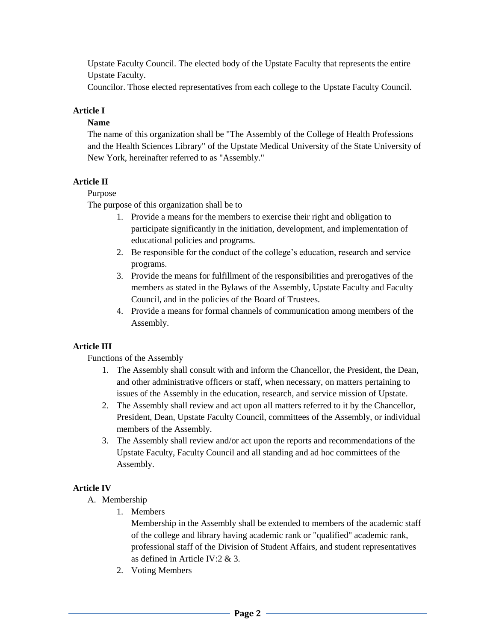Upstate Faculty Council. The elected body of the Upstate Faculty that represents the entire Upstate Faculty.

Councilor. Those elected representatives from each college to the Upstate Faculty Council.

#### **Article I**

#### **Name**

The name of this organization shall be "The Assembly of the College of Health Professions and the Health Sciences Library" of the Upstate Medical University of the State University of New York, hereinafter referred to as "Assembly."

#### **Article II**

#### Purpose

The purpose of this organization shall be to

- 1. Provide a means for the members to exercise their right and obligation to participate significantly in the initiation, development, and implementation of educational policies and programs.
- 2. Be responsible for the conduct of the college's education, research and service programs.
- 3. Provide the means for fulfillment of the responsibilities and prerogatives of the members as stated in the Bylaws of the Assembly, Upstate Faculty and Faculty Council, and in the policies of the Board of Trustees.
- 4. Provide a means for formal channels of communication among members of the Assembly.

#### **Article III**

Functions of the Assembly

- 1. The Assembly shall consult with and inform the Chancellor, the President, the Dean, and other administrative officers or staff, when necessary, on matters pertaining to issues of the Assembly in the education, research, and service mission of Upstate.
- 2. The Assembly shall review and act upon all matters referred to it by the Chancellor, President, Dean, Upstate Faculty Council, committees of the Assembly, or individual members of the Assembly.
- 3. The Assembly shall review and/or act upon the reports and recommendations of the Upstate Faculty, Faculty Council and all standing and ad hoc committees of the Assembly.

#### **Article IV**

- A. Membership
	- 1. Members

Membership in the Assembly shall be extended to members of the academic staff of the college and library having academic rank or "qualified" academic rank, professional staff of the Division of Student Affairs, and student representatives as defined in Article IV:2 & 3.

2. Voting Members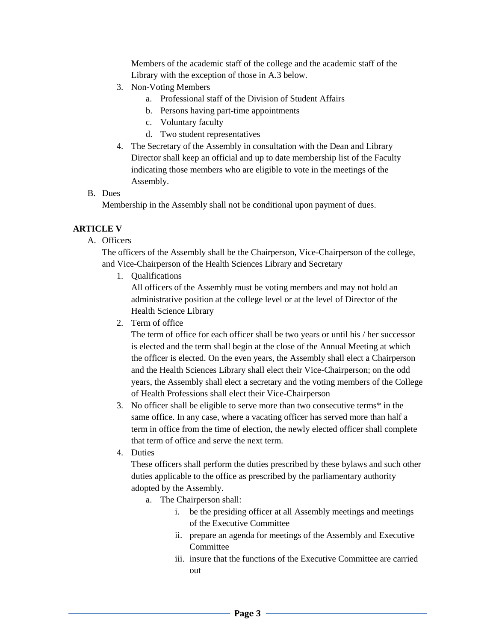Members of the academic staff of the college and the academic staff of the Library with the exception of those in A.3 below.

- 3. Non-Voting Members
	- a. Professional staff of the Division of Student Affairs
	- b. Persons having part-time appointments
	- c. Voluntary faculty
	- d. Two student representatives
- 4. The Secretary of the Assembly in consultation with the Dean and Library Director shall keep an official and up to date membership list of the Faculty indicating those members who are eligible to vote in the meetings of the Assembly.
- B. Dues

Membership in the Assembly shall not be conditional upon payment of dues.

#### **ARTICLE V**

A. Officers

The officers of the Assembly shall be the Chairperson, Vice-Chairperson of the college, and Vice-Chairperson of the Health Sciences Library and Secretary

1. Qualifications

All officers of the Assembly must be voting members and may not hold an administrative position at the college level or at the level of Director of the Health Science Library

2. Term of office

The term of office for each officer shall be two years or until his / her successor is elected and the term shall begin at the close of the Annual Meeting at which the officer is elected. On the even years, the Assembly shall elect a Chairperson and the Health Sciences Library shall elect their Vice-Chairperson; on the odd years, the Assembly shall elect a secretary and the voting members of the College of Health Professions shall elect their Vice-Chairperson

- 3. No officer shall be eligible to serve more than two consecutive terms\* in the same office. In any case, where a vacating officer has served more than half a term in office from the time of election, the newly elected officer shall complete that term of office and serve the next term.
- 4. Duties

These officers shall perform the duties prescribed by these bylaws and such other duties applicable to the office as prescribed by the parliamentary authority adopted by the Assembly.

- a. The Chairperson shall:
	- i. be the presiding officer at all Assembly meetings and meetings of the Executive Committee
	- ii. prepare an agenda for meetings of the Assembly and Executive Committee
	- iii. insure that the functions of the Executive Committee are carried out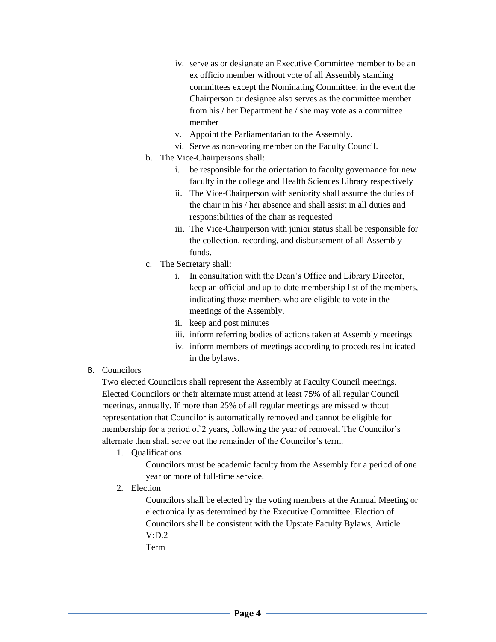- iv. serve as or designate an Executive Committee member to be an ex officio member without vote of all Assembly standing committees except the Nominating Committee; in the event the Chairperson or designee also serves as the committee member from his / her Department he / she may vote as a committee member
- v. Appoint the Parliamentarian to the Assembly.
- vi. Serve as non-voting member on the Faculty Council.
- b. The Vice-Chairpersons shall:
	- i. be responsible for the orientation to faculty governance for new faculty in the college and Health Sciences Library respectively
	- ii. The Vice-Chairperson with seniority shall assume the duties of the chair in his / her absence and shall assist in all duties and responsibilities of the chair as requested
	- iii. The Vice-Chairperson with junior status shall be responsible for the collection, recording, and disbursement of all Assembly funds.
- c. The Secretary shall:
	- i. In consultation with the Dean's Office and Library Director, keep an official and up-to-date membership list of the members, indicating those members who are eligible to vote in the meetings of the Assembly.
	- ii. keep and post minutes
	- iii. inform referring bodies of actions taken at Assembly meetings
	- iv. inform members of meetings according to procedures indicated in the bylaws.
- B. Councilors

Two elected Councilors shall represent the Assembly at Faculty Council meetings. Elected Councilors or their alternate must attend at least 75% of all regular Council meetings, annually. If more than 25% of all regular meetings are missed without representation that Councilor is automatically removed and cannot be eligible for membership for a period of 2 years, following the year of removal. The Councilor's alternate then shall serve out the remainder of the Councilor's term.

1. Qualifications

Councilors must be academic faculty from the Assembly for a period of one year or more of full-time service.

2. Election

Councilors shall be elected by the voting members at the Annual Meeting or electronically as determined by the Executive Committee. Election of Councilors shall be consistent with the Upstate Faculty Bylaws, Article V:D.2

Term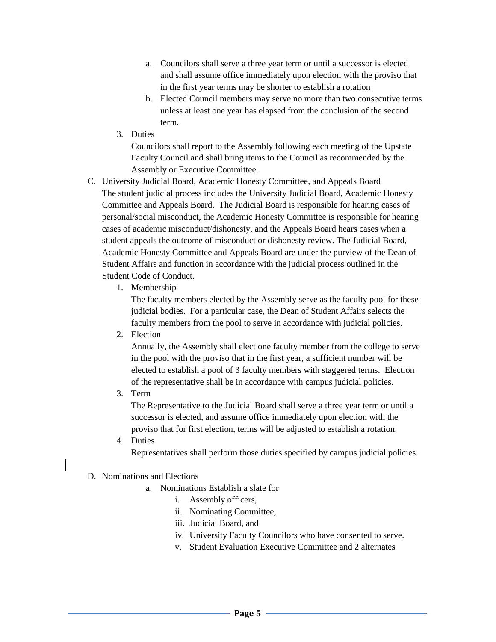- a. Councilors shall serve a three year term or until a successor is elected and shall assume office immediately upon election with the proviso that in the first year terms may be shorter to establish a rotation
- b. Elected Council members may serve no more than two consecutive terms unless at least one year has elapsed from the conclusion of the second term.
- 3. Duties

Councilors shall report to the Assembly following each meeting of the Upstate Faculty Council and shall bring items to the Council as recommended by the Assembly or Executive Committee.

- C. University Judicial Board, Academic Honesty Committee, and Appeals Board The student judicial process includes the University Judicial Board, Academic Honesty Committee and Appeals Board. The Judicial Board is responsible for hearing cases of personal/social misconduct, the Academic Honesty Committee is responsible for hearing cases of academic misconduct/dishonesty, and the Appeals Board hears cases when a student appeals the outcome of misconduct or dishonesty review. The Judicial Board, Academic Honesty Committee and Appeals Board are under the purview of the Dean of Student Affairs and function in accordance with the judicial process outlined in the Student Code of Conduct.
	- 1. Membership

The faculty members elected by the Assembly serve as the faculty pool for these judicial bodies. For a particular case, the Dean of Student Affairs selects the faculty members from the pool to serve in accordance with judicial policies.

2. Election

Annually, the Assembly shall elect one faculty member from the college to serve in the pool with the proviso that in the first year, a sufficient number will be elected to establish a pool of 3 faculty members with staggered terms. Election of the representative shall be in accordance with campus judicial policies.

3. Term

The Representative to the Judicial Board shall serve a three year term or until a successor is elected, and assume office immediately upon election with the proviso that for first election, terms will be adjusted to establish a rotation.

4. Duties Representatives shall perform those duties specified by campus judicial policies.

# D. Nominations and Elections

- a. Nominations Establish a slate for
	- i. Assembly officers,
	- ii. Nominating Committee,
	- iii. Judicial Board, and
	- iv. University Faculty Councilors who have consented to serve.
	- v. Student Evaluation Executive Committee and 2 alternates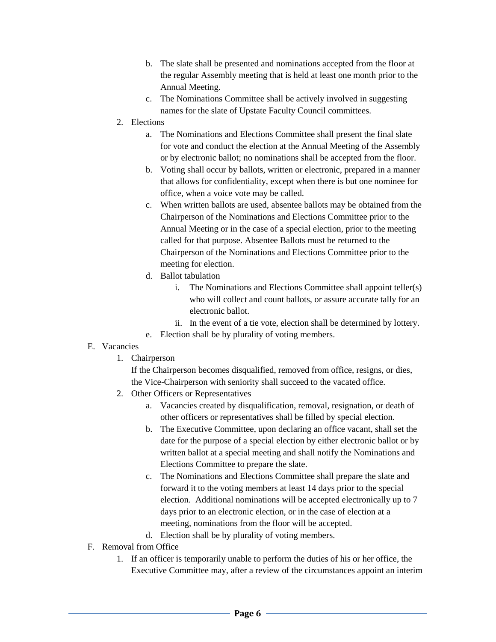- b. The slate shall be presented and nominations accepted from the floor at the regular Assembly meeting that is held at least one month prior to the Annual Meeting.
- c. The Nominations Committee shall be actively involved in suggesting names for the slate of Upstate Faculty Council committees.
- 2. Elections
	- a. The Nominations and Elections Committee shall present the final slate for vote and conduct the election at the Annual Meeting of the Assembly or by electronic ballot; no nominations shall be accepted from the floor.
	- b. Voting shall occur by ballots, written or electronic, prepared in a manner that allows for confidentiality, except when there is but one nominee for office, when a voice vote may be called.
	- c. When written ballots are used, absentee ballots may be obtained from the Chairperson of the Nominations and Elections Committee prior to the Annual Meeting or in the case of a special election, prior to the meeting called for that purpose. Absentee Ballots must be returned to the Chairperson of the Nominations and Elections Committee prior to the meeting for election.
	- d. Ballot tabulation
		- i. The Nominations and Elections Committee shall appoint teller(s) who will collect and count ballots, or assure accurate tally for an electronic ballot.
		- ii. In the event of a tie vote, election shall be determined by lottery.
	- e. Election shall be by plurality of voting members.

## E. Vacancies

1. Chairperson

If the Chairperson becomes disqualified, removed from office, resigns, or dies, the Vice-Chairperson with seniority shall succeed to the vacated office.

- 2. Other Officers or Representatives
	- a. Vacancies created by disqualification, removal, resignation, or death of other officers or representatives shall be filled by special election.
	- b. The Executive Committee, upon declaring an office vacant, shall set the date for the purpose of a special election by either electronic ballot or by written ballot at a special meeting and shall notify the Nominations and Elections Committee to prepare the slate.
	- c. The Nominations and Elections Committee shall prepare the slate and forward it to the voting members at least 14 days prior to the special election. Additional nominations will be accepted electronically up to 7 days prior to an electronic election, or in the case of election at a meeting, nominations from the floor will be accepted.
	- d. Election shall be by plurality of voting members.
- F. Removal from Office
	- 1. If an officer is temporarily unable to perform the duties of his or her office, the Executive Committee may, after a review of the circumstances appoint an interim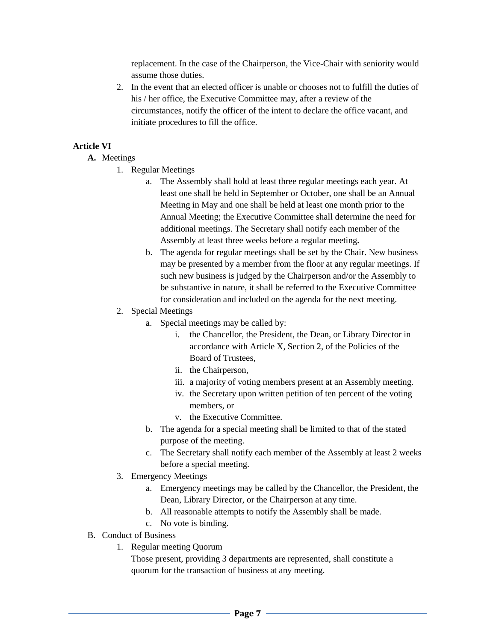replacement. In the case of the Chairperson, the Vice-Chair with seniority would assume those duties.

2. In the event that an elected officer is unable or chooses not to fulfill the duties of his / her office, the Executive Committee may, after a review of the circumstances, notify the officer of the intent to declare the office vacant, and initiate procedures to fill the office.

#### **Article VI**

- **A.** Meetings
	- 1. Regular Meetings
		- a. The Assembly shall hold at least three regular meetings each year. At least one shall be held in September or October, one shall be an Annual Meeting in May and one shall be held at least one month prior to the Annual Meeting; the Executive Committee shall determine the need for additional meetings. The Secretary shall notify each member of the Assembly at least three weeks before a regular meeting**.**
		- b. The agenda for regular meetings shall be set by the Chair. New business may be presented by a member from the floor at any regular meetings. If such new business is judged by the Chairperson and/or the Assembly to be substantive in nature, it shall be referred to the Executive Committee for consideration and included on the agenda for the next meeting.
	- 2. Special Meetings
		- a. Special meetings may be called by:
			- i. the Chancellor, the President, the Dean, or Library Director in accordance with Article X, Section 2, of the Policies of the Board of Trustees,
			- ii. the Chairperson,
			- iii. a majority of voting members present at an Assembly meeting.
			- iv. the Secretary upon written petition of ten percent of the voting members, or
			- v. the Executive Committee.
		- b. The agenda for a special meeting shall be limited to that of the stated purpose of the meeting.
		- c. The Secretary shall notify each member of the Assembly at least 2 weeks before a special meeting.
	- 3. Emergency Meetings
		- a. Emergency meetings may be called by the Chancellor, the President, the Dean, Library Director, or the Chairperson at any time.
		- b. All reasonable attempts to notify the Assembly shall be made.
		- c. No vote is binding.

## B. Conduct of Business

- 1. Regular meeting Quorum
	- Those present, providing 3 departments are represented, shall constitute a quorum for the transaction of business at any meeting.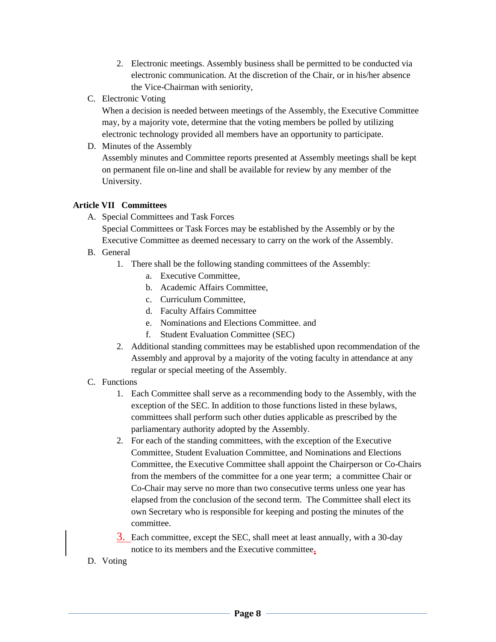- 2. Electronic meetings. Assembly business shall be permitted to be conducted via electronic communication. At the discretion of the Chair, or in his/her absence the Vice-Chairman with seniority,
- C. Electronic Voting

When a decision is needed between meetings of the Assembly, the Executive Committee may, by a majority vote, determine that the voting members be polled by utilizing electronic technology provided all members have an opportunity to participate.

D. Minutes of the Assembly

Assembly minutes and Committee reports presented at Assembly meetings shall be kept on permanent file on-line and shall be available for review by any member of the University.

## **Article VII Committees**

- A. Special Committees and Task Forces Special Committees or Task Forces may be established by the Assembly or by the Executive Committee as deemed necessary to carry on the work of the Assembly.
- B. General
	- 1. There shall be the following standing committees of the Assembly:
		- a. Executive Committee,
		- b. Academic Affairs Committee,
		- c. Curriculum Committee,
		- d. Faculty Affairs Committee
		- e. Nominations and Elections Committee. and
		- f. Student Evaluation Committee (SEC)
	- 2. Additional standing committees may be established upon recommendation of the Assembly and approval by a majority of the voting faculty in attendance at any regular or special meeting of the Assembly.
- C. Functions
	- 1. Each Committee shall serve as a recommending body to the Assembly, with the exception of the SEC. In addition to those functions listed in these bylaws, committees shall perform such other duties applicable as prescribed by the parliamentary authority adopted by the Assembly.
	- 2. For each of the standing committees, with the exception of the Executive Committee, Student Evaluation Committee, and Nominations and Elections Committee, the Executive Committee shall appoint the Chairperson or Co-Chairs from the members of the committee for a one year term; a committee Chair or Co-Chair may serve no more than two consecutive terms unless one year has elapsed from the conclusion of the second term. The Committee shall elect its own Secretary who is responsible for keeping and posting the minutes of the committee.
	- 3. Each committee, except the SEC, shall meet at least annually, with a 30-day notice to its members and the Executive committee**.**
- D. Voting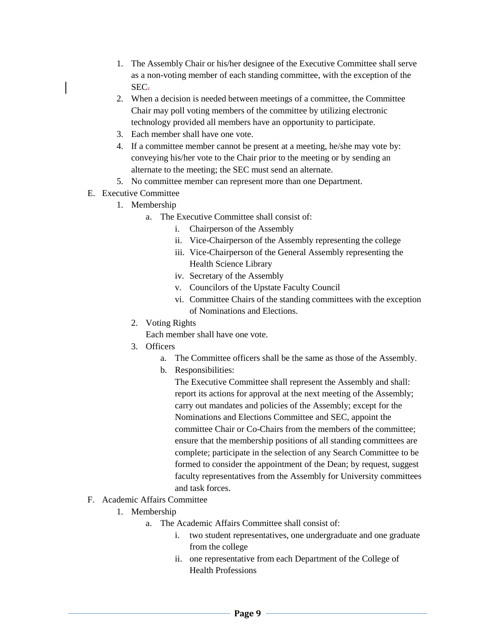- 1. The Assembly Chair or his/her designee of the Executive Committee shall serve as a non-voting member of each standing committee, with the exception of the SEC.
- 2. When a decision is needed between meetings of a committee, the Committee Chair may poll voting members of the committee by utilizing electronic technology provided all members have an opportunity to participate.
- 3. Each member shall have one vote.
- 4. If a committee member cannot be present at a meeting, he/she may vote by: conveying his/her vote to the Chair prior to the meeting or by sending an alternate to the meeting; the SEC must send an alternate.
- 5. No committee member can represent more than one Department.
- E. Executive Committee
	- 1. Membership
		- a. The Executive Committee shall consist of:
			- i. Chairperson of the Assembly
			- ii. Vice-Chairperson of the Assembly representing the college
			- iii. Vice-Chairperson of the General Assembly representing the Health Science Library
			- iv. Secretary of the Assembly
			- v. Councilors of the Upstate Faculty Council
			- vi. Committee Chairs of the standing committees with the exception of Nominations and Elections.
		- 2. Voting Rights

Each member shall have one vote.

- 3. Officers
	- a. The Committee officers shall be the same as those of the Assembly.
	- b. Responsibilities:

The Executive Committee shall represent the Assembly and shall: report its actions for approval at the next meeting of the Assembly; carry out mandates and policies of the Assembly; except for the Nominations and Elections Committee and SEC, appoint the committee Chair or Co-Chairs from the members of the committee; ensure that the membership positions of all standing committees are complete; participate in the selection of any Search Committee to be formed to consider the appointment of the Dean; by request, suggest faculty representatives from the Assembly for University committees and task forces.

- F. Academic Affairs Committee
	- 1. Membership
		- a. The Academic Affairs Committee shall consist of:
			- i. two student representatives, one undergraduate and one graduate from the college
			- ii. one representative from each Department of the College of Health Professions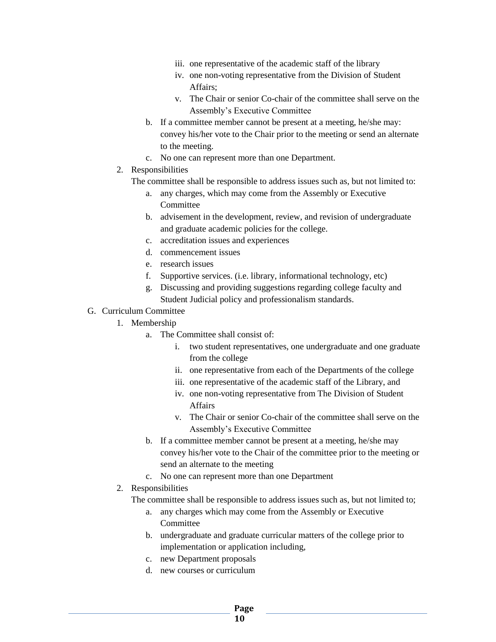- iii. one representative of the academic staff of the library
- iv. one non-voting representative from the Division of Student Affairs;
- v. The Chair or senior Co-chair of the committee shall serve on the Assembly's Executive Committee
- b. If a committee member cannot be present at a meeting, he/she may: convey his/her vote to the Chair prior to the meeting or send an alternate to the meeting.
- c. No one can represent more than one Department.
- 2. Responsibilities

The committee shall be responsible to address issues such as, but not limited to:

- a. any charges, which may come from the Assembly or Executive **Committee**
- b. advisement in the development, review, and revision of undergraduate and graduate academic policies for the college.
- c. accreditation issues and experiences
- d. commencement issues
- e. research issues
- f. Supportive services. (i.e. library, informational technology, etc)
- g. Discussing and providing suggestions regarding college faculty and Student Judicial policy and professionalism standards.
- G. Curriculum Committee
	- 1. Membership
		- a. The Committee shall consist of:
			- i. two student representatives, one undergraduate and one graduate from the college
			- ii. one representative from each of the Departments of the college
			- iii. one representative of the academic staff of the Library, and
			- iv. one non-voting representative from The Division of Student Affairs
			- v. The Chair or senior Co-chair of the committee shall serve on the Assembly's Executive Committee
		- b. If a committee member cannot be present at a meeting, he/she may convey his/her vote to the Chair of the committee prior to the meeting or send an alternate to the meeting
		- c. No one can represent more than one Department
	- 2. Responsibilities

The committee shall be responsible to address issues such as, but not limited to;

- a. any charges which may come from the Assembly or Executive Committee
- b. undergraduate and graduate curricular matters of the college prior to implementation or application including,
- c. new Department proposals
- d. new courses or curriculum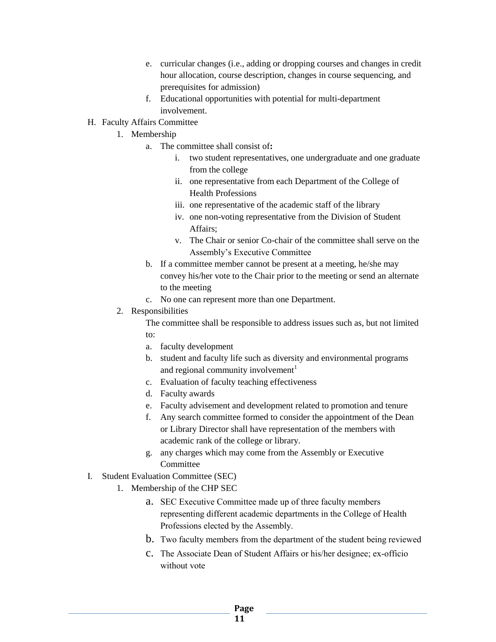- e. curricular changes (i.e., adding or dropping courses and changes in credit hour allocation, course description, changes in course sequencing, and prerequisites for admission)
- f. Educational opportunities with potential for multi-department involvement.
- H. Faculty Affairs Committee
	- 1. Membership
		- a. The committee shall consist of**:**
			- i. two student representatives, one undergraduate and one graduate from the college
			- ii. one representative from each Department of the College of Health Professions
			- iii. one representative of the academic staff of the library
			- iv. one non-voting representative from the Division of Student Affairs;
			- v. The Chair or senior Co-chair of the committee shall serve on the Assembly's Executive Committee
		- b. If a committee member cannot be present at a meeting, he/she may convey his/her vote to the Chair prior to the meeting or send an alternate to the meeting
		- c. No one can represent more than one Department.
	- 2. Responsibilities

The committee shall be responsible to address issues such as, but not limited to:

- a. faculty development
- b. student and faculty life such as diversity and environmental programs and regional community involvement<sup>1</sup>
- c. Evaluation of faculty teaching effectiveness
- d. Faculty awards
- e. Faculty advisement and development related to promotion and tenure
- f. Any search committee formed to consider the appointment of the Dean or Library Director shall have representation of the members with academic rank of the college or library.
- g. any charges which may come from the Assembly or Executive **Committee**
- I. Student Evaluation Committee (SEC)
	- 1. Membership of the CHP SEC
		- a. SEC Executive Committee made up of three faculty members representing different academic departments in the College of Health Professions elected by the Assembly.
		- b. Two faculty members from the department of the student being reviewed
		- c. The Associate Dean of Student Affairs or his/her designee; ex-officio without vote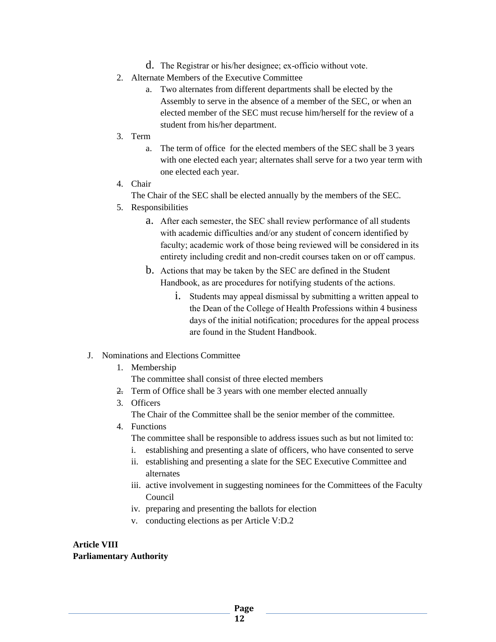- d. The Registrar or his/her designee; ex-officio without vote.
- 2. Alternate Members of the Executive Committee
	- a. Two alternates from different departments shall be elected by the Assembly to serve in the absence of a member of the SEC, or when an elected member of the SEC must recuse him/herself for the review of a student from his/her department.
- 3. Term
	- a. The term of office for the elected members of the SEC shall be 3 years with one elected each year; alternates shall serve for a two year term with one elected each year.
- 4. Chair

The Chair of the SEC shall be elected annually by the members of the SEC.

- 5. Responsibilities
	- a. After each semester, the SEC shall review performance of all students with academic difficulties and/or any student of concern identified by faculty; academic work of those being reviewed will be considered in its entirety including credit and non-credit courses taken on or off campus.
	- b. Actions that may be taken by the SEC are defined in the Student Handbook, as are procedures for notifying students of the actions.
		- i. Students may appeal dismissal by submitting a written appeal to the Dean of the College of Health Professions within 4 business days of the initial notification; procedures for the appeal process are found in the Student Handbook.
- J. Nominations and Elections Committee
	- 1. Membership

The committee shall consist of three elected members

- 2. Term of Office shall be 3 years with one member elected annually
- 3. Officers

The Chair of the Committee shall be the senior member of the committee.

- 4. Functions
	- The committee shall be responsible to address issues such as but not limited to:
	- i. establishing and presenting a slate of officers, who have consented to serve
	- ii. establishing and presenting a slate for the SEC Executive Committee and alternates
	- iii. active involvement in suggesting nominees for the Committees of the Faculty Council
	- iv. preparing and presenting the ballots for election
	- v. conducting elections as per Article V:D.2

#### **Article VIII Parliamentary Authority**